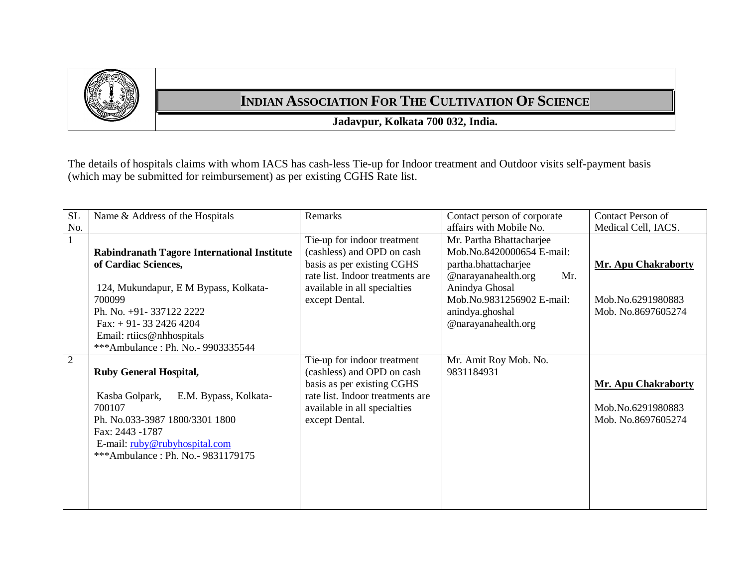

## **INDIAN ASSOCIATION FOR THE CULTIVATION OF SCIENCE**

**Jadavpur, Kolkata 700 032, India.**

The details of hospitals claims with whom IACS has cash-less Tie-up for Indoor treatment and Outdoor visits self-payment basis (which may be submitted for reimbursement) as per existing CGHS Rate list.

| <b>SL</b>      | Name & Address of the Hospitals                                                                                                                                                                                                                      | Remarks                                                                                                                                                                       | Contact person of corporate                                                                                                                                                                          | <b>Contact Person of</b>                                              |
|----------------|------------------------------------------------------------------------------------------------------------------------------------------------------------------------------------------------------------------------------------------------------|-------------------------------------------------------------------------------------------------------------------------------------------------------------------------------|------------------------------------------------------------------------------------------------------------------------------------------------------------------------------------------------------|-----------------------------------------------------------------------|
| No.            |                                                                                                                                                                                                                                                      |                                                                                                                                                                               | affairs with Mobile No.                                                                                                                                                                              | Medical Cell, IACS.                                                   |
| $\mathbf{1}$   | <b>Rabindranath Tagore International Institute</b><br>of Cardiac Sciences,<br>124, Mukundapur, E M Bypass, Kolkata-<br>700099<br>Ph. No. +91-337122 2222<br>Fax: $+91-3324264204$<br>Email: rtiics@nhhospitals<br>***Ambulance: Ph. No. - 9903335544 | Tie-up for indoor treatment<br>(cashless) and OPD on cash<br>basis as per existing CGHS<br>rate list. Indoor treatments are<br>available in all specialties<br>except Dental. | Mr. Partha Bhattacharjee<br>Mob.No.8420000654 E-mail:<br>partha.bhattacharjee<br>@narayanahealth.org<br>Mr.<br>Anindya Ghosal<br>Mob.No.9831256902 E-mail:<br>anindya.ghoshal<br>@narayanahealth.org | <b>Mr. Apu Chakraborty</b><br>Mob.No.6291980883<br>Mob. No.8697605274 |
| $\overline{2}$ | <b>Ruby General Hospital,</b><br>E.M. Bypass, Kolkata-<br>Kasba Golpark,<br>700107<br>Ph. No.033-3987 1800/3301 1800<br>Fax: 2443 -1787<br>E-mail: ruby@rubyhospital.com<br>***Ambulance: Ph. No. - 9831179175                                       | Tie-up for indoor treatment<br>(cashless) and OPD on cash<br>basis as per existing CGHS<br>rate list. Indoor treatments are<br>available in all specialties<br>except Dental. | Mr. Amit Roy Mob. No.<br>9831184931                                                                                                                                                                  | <b>Mr. Apu Chakraborty</b><br>Mob.No.6291980883<br>Mob. No.8697605274 |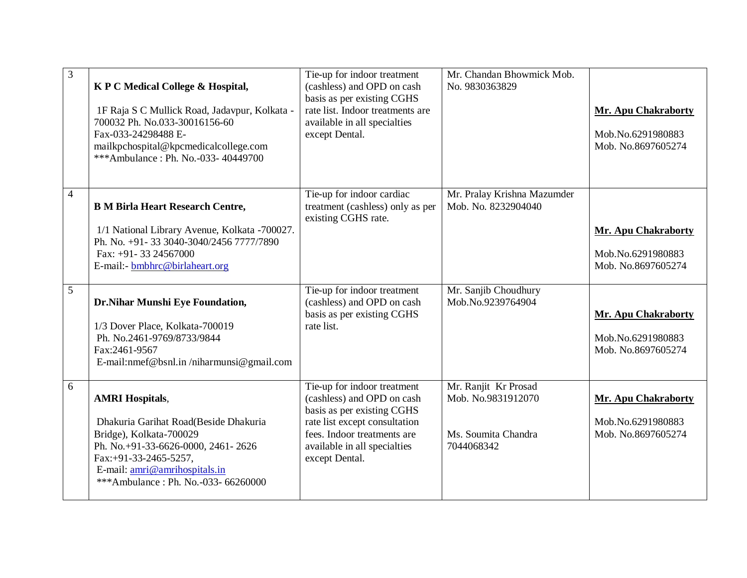| 3              | K P C Medical College & Hospital,<br>1F Raja S C Mullick Road, Jadavpur, Kolkata -<br>700032 Ph. No.033-30016156-60<br>Fax-033-24298488 E-<br>mailkpchospital@kpcmedicalcollege.com<br>***Ambulance: Ph. No.-033-40449700         | Tie-up for indoor treatment<br>(cashless) and OPD on cash<br>basis as per existing CGHS<br>rate list. Indoor treatments are<br>available in all specialties<br>except Dental.                             | Mr. Chandan Bhowmick Mob.<br>No. 9830363829                                     | <b>Mr. Apu Chakraborty</b><br>Mob.No.6291980883<br>Mob. No.8697605274 |
|----------------|-----------------------------------------------------------------------------------------------------------------------------------------------------------------------------------------------------------------------------------|-----------------------------------------------------------------------------------------------------------------------------------------------------------------------------------------------------------|---------------------------------------------------------------------------------|-----------------------------------------------------------------------|
| $\overline{4}$ | <b>B M Birla Heart Research Centre,</b><br>1/1 National Library Avenue, Kolkata -700027.<br>Ph. No. +91-33 3040-3040/2456 7777/7890<br>Fax: +91-33 24567000<br>E-mail:- bmbhrc@birlaheart.org                                     | Tie-up for indoor cardiac<br>treatment (cashless) only as per<br>existing CGHS rate.                                                                                                                      | Mr. Pralay Krishna Mazumder<br>Mob. No. 8232904040                              | <b>Mr. Apu Chakraborty</b><br>Mob.No.6291980883<br>Mob. No.8697605274 |
| 5              | Dr.Nihar Munshi Eye Foundation,<br>1/3 Dover Place, Kolkata-700019<br>Ph. No.2461-9769/8733/9844<br>Fax:2461-9567<br>E-mail:nmef@bsnl.in/niharmunsi@gmail.com                                                                     | Tie-up for indoor treatment<br>(cashless) and OPD on cash<br>basis as per existing CGHS<br>rate list.                                                                                                     | Mr. Sanjib Choudhury<br>Mob.No.9239764904                                       | <b>Mr. Apu Chakraborty</b><br>Mob.No.6291980883<br>Mob. No.8697605274 |
| 6              | <b>AMRI Hospitals,</b><br>Dhakuria Garihat Road(Beside Dhakuria<br>Bridge), Kolkata-700029<br>Ph. No.+91-33-6626-0000, 2461-2626<br>Fax:+91-33-2465-5257,<br>E-mail: amri@amrihospitals.in<br>***Ambulance: Ph. No.-033- 66260000 | Tie-up for indoor treatment<br>(cashless) and OPD on cash<br>basis as per existing CGHS<br>rate list except consultation<br>fees. Indoor treatments are<br>available in all specialties<br>except Dental. | Mr. Ranjit Kr Prosad<br>Mob. No.9831912070<br>Ms. Soumita Chandra<br>7044068342 | <b>Mr. Apu Chakraborty</b><br>Mob.No.6291980883<br>Mob. No.8697605274 |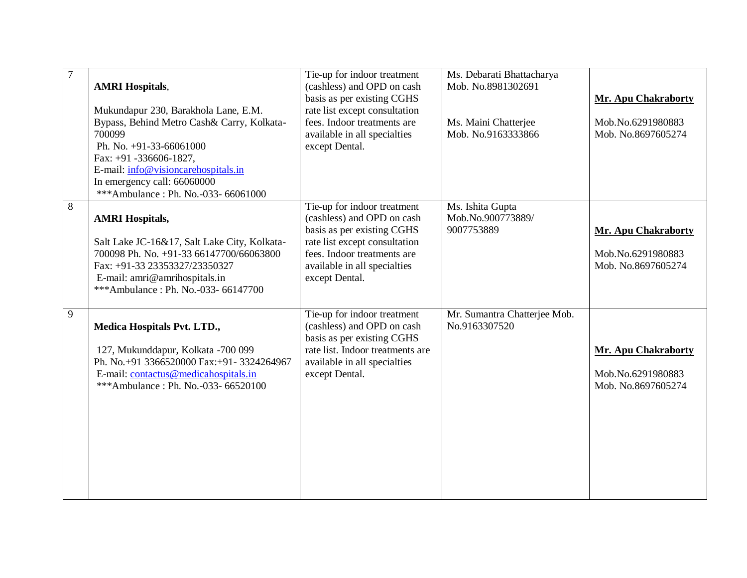| $\overline{7}$ | <b>AMRI Hospitals,</b><br>Mukundapur 230, Barakhola Lane, E.M.<br>Bypass, Behind Metro Cash& Carry, Kolkata-<br>700099<br>Ph. No. $+91-33-66061000$<br>Fax: +91 -336606-1827,<br>E-mail: info@visioncarehospitals.in<br>In emergency call: 66060000<br>***Ambulance: Ph. No.-033- 66061000 | Tie-up for indoor treatment<br>(cashless) and OPD on cash<br>basis as per existing CGHS<br>rate list except consultation<br>fees. Indoor treatments are<br>available in all specialties<br>except Dental. | Ms. Debarati Bhattacharya<br>Mob. No.8981302691<br>Ms. Maini Chatterjee<br>Mob. No.9163333866 | <b>Mr. Apu Chakraborty</b><br>Mob.No.6291980883<br>Mob. No.8697605274 |
|----------------|--------------------------------------------------------------------------------------------------------------------------------------------------------------------------------------------------------------------------------------------------------------------------------------------|-----------------------------------------------------------------------------------------------------------------------------------------------------------------------------------------------------------|-----------------------------------------------------------------------------------------------|-----------------------------------------------------------------------|
| $8\,$          | <b>AMRI Hospitals,</b><br>Salt Lake JC-16&17, Salt Lake City, Kolkata-<br>700098 Ph. No. +91-33 66147700/66063800<br>Fax: +91-33 23353327/23350327<br>E-mail: amri@amrihospitals.in<br>***Ambulance: Ph. No.-033- 66147700                                                                 | Tie-up for indoor treatment<br>(cashless) and OPD on cash<br>basis as per existing CGHS<br>rate list except consultation<br>fees. Indoor treatments are<br>available in all specialties<br>except Dental. | Ms. Ishita Gupta<br>Mob.No.900773889/<br>9007753889                                           | <b>Mr. Apu Chakraborty</b><br>Mob.No.6291980883<br>Mob. No.8697605274 |
| 9              | Medica Hospitals Pvt. LTD.,<br>127, Mukunddapur, Kolkata -700 099<br>Ph. No.+91 3366520000 Fax:+91-3324264967<br>E-mail: contactus@medicahospitals.in<br>***Ambulance: Ph. No.-033- 66520100                                                                                               | Tie-up for indoor treatment<br>(cashless) and OPD on cash<br>basis as per existing CGHS<br>rate list. Indoor treatments are<br>available in all specialties<br>except Dental.                             | Mr. Sumantra Chatterjee Mob.<br>No.9163307520                                                 | <b>Mr. Apu Chakraborty</b><br>Mob.No.6291980883<br>Mob. No.8697605274 |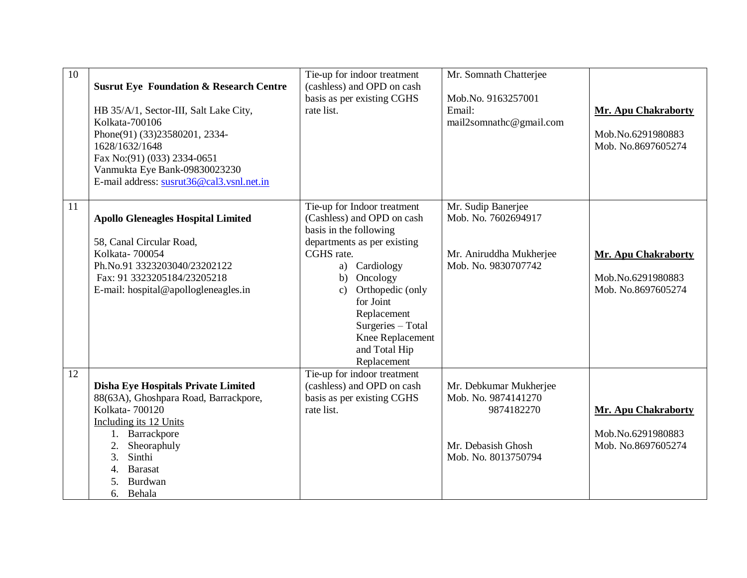| 10 | <b>Susrut Eye Foundation &amp; Research Centre</b><br>HB 35/A/1, Sector-III, Salt Lake City,<br>Kolkata-700106<br>Phone(91) (33)23580201, 2334-<br>1628/1632/1648<br>Fax No: (91) (033) 2334-0651<br>Vanmukta Eye Bank-09830023230<br>E-mail address: susrut36@cal3.vsnl.net.in | Tie-up for indoor treatment<br>(cashless) and OPD on cash<br>basis as per existing CGHS<br>rate list.                                                                                                                                                                                                            | Mr. Somnath Chatterjee<br>Mob.No. 9163257001<br>Email:<br>mail2somnathc@gmail.com                        | <b>Mr. Apu Chakraborty</b><br>Mob.No.6291980883<br>Mob. No.8697605274 |
|----|---------------------------------------------------------------------------------------------------------------------------------------------------------------------------------------------------------------------------------------------------------------------------------|------------------------------------------------------------------------------------------------------------------------------------------------------------------------------------------------------------------------------------------------------------------------------------------------------------------|----------------------------------------------------------------------------------------------------------|-----------------------------------------------------------------------|
| 11 | <b>Apollo Gleneagles Hospital Limited</b><br>58, Canal Circular Road,<br>Kolkata-700054<br>Ph.No.91 3323203040/23202122<br>Fax: 91 3323205184/23205218<br>E-mail: hospital@apollogleneagles.in                                                                                  | Tie-up for Indoor treatment<br>(Cashless) and OPD on cash<br>basis in the following<br>departments as per existing<br>CGHS rate.<br>Cardiology<br>a)<br>Oncology<br>b)<br>Orthopedic (only<br>$\mathbf{c})$<br>for Joint<br>Replacement<br>Surgeries - Total<br>Knee Replacement<br>and Total Hip<br>Replacement | Mr. Sudip Banerjee<br>Mob. No. 7602694917<br>Mr. Aniruddha Mukherjee<br>Mob. No. 9830707742              | <b>Mr. Apu Chakraborty</b><br>Mob.No.6291980883<br>Mob. No.8697605274 |
| 12 | Disha Eye Hospitals Private Limited<br>88(63A), Ghoshpara Road, Barrackpore,<br>Kolkata-700120<br>Including its 12 Units<br>1. Barrackpore<br>Sheoraphuly<br>2.<br>Sinthi<br>3.<br><b>Barasat</b><br>4.<br>Burdwan<br>5.<br>6. Behala                                           | Tie-up for indoor treatment<br>(cashless) and OPD on cash<br>basis as per existing CGHS<br>rate list.                                                                                                                                                                                                            | Mr. Debkumar Mukherjee<br>Mob. No. 9874141270<br>9874182270<br>Mr. Debasish Ghosh<br>Mob. No. 8013750794 | <b>Mr. Apu Chakraborty</b><br>Mob.No.6291980883<br>Mob. No.8697605274 |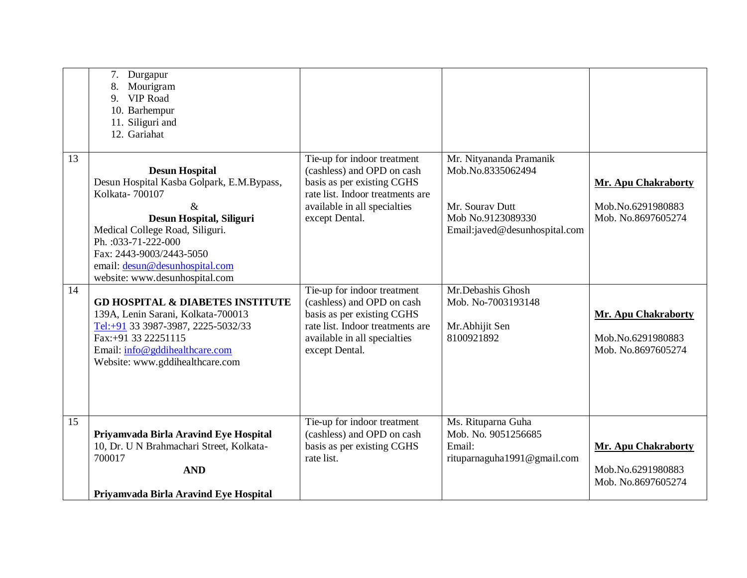|    | 7.<br>Durgapur<br>8.<br>Mourigram<br><b>VIP Road</b><br>9.<br>10. Barhempur<br>11. Siliguri and<br>12. Gariahat                                                                                                                                                                    |                                                                                                                                                                               |                                                                                                                       |                                                                       |
|----|------------------------------------------------------------------------------------------------------------------------------------------------------------------------------------------------------------------------------------------------------------------------------------|-------------------------------------------------------------------------------------------------------------------------------------------------------------------------------|-----------------------------------------------------------------------------------------------------------------------|-----------------------------------------------------------------------|
| 13 | <b>Desun Hospital</b><br>Desun Hospital Kasba Golpark, E.M.Bypass,<br>Kolkata-700107<br>$\&$<br>Desun Hospital, Siliguri<br>Medical College Road, Siliguri.<br>Ph.: 033-71-222-000<br>Fax: 2443-9003/2443-5050<br>email: desun@desunhospital.com<br>website: www.desunhospital.com | Tie-up for indoor treatment<br>(cashless) and OPD on cash<br>basis as per existing CGHS<br>rate list. Indoor treatments are<br>available in all specialties<br>except Dental. | Mr. Nityananda Pramanik<br>Mob.No.8335062494<br>Mr. Sourav Dutt<br>Mob No.9123089330<br>Email:javed@desunhospital.com | <b>Mr. Apu Chakraborty</b><br>Mob.No.6291980883<br>Mob. No.8697605274 |
| 14 | <b>GD HOSPITAL &amp; DIABETES INSTITUTE</b><br>139A, Lenin Sarani, Kolkata-700013<br>Tel:+91 33 3987-3987, 2225-5032/33<br>Fax:+91 33 22251115<br>Email: info@gddihealthcare.com<br>Website: www.gddihealthcare.com                                                                | Tie-up for indoor treatment<br>(cashless) and OPD on cash<br>basis as per existing CGHS<br>rate list. Indoor treatments are<br>available in all specialties<br>except Dental. | Mr.Debashis Ghosh<br>Mob. No-7003193148<br>Mr.Abhijit Sen<br>8100921892                                               | <b>Mr. Apu Chakraborty</b><br>Mob.No.6291980883<br>Mob. No.8697605274 |
| 15 | Priyamvada Birla Aravind Eye Hospital<br>10, Dr. U N Brahmachari Street, Kolkata-<br>700017<br><b>AND</b><br>Priyamvada Birla Aravind Eye Hospital                                                                                                                                 | Tie-up for indoor treatment<br>(cashless) and OPD on cash<br>basis as per existing CGHS<br>rate list.                                                                         | Ms. Rituparna Guha<br>Mob. No. 9051256685<br>Email:<br>rituparnaguha1991@gmail.com                                    | <b>Mr. Apu Chakraborty</b><br>Mob.No.6291980883<br>Mob. No.8697605274 |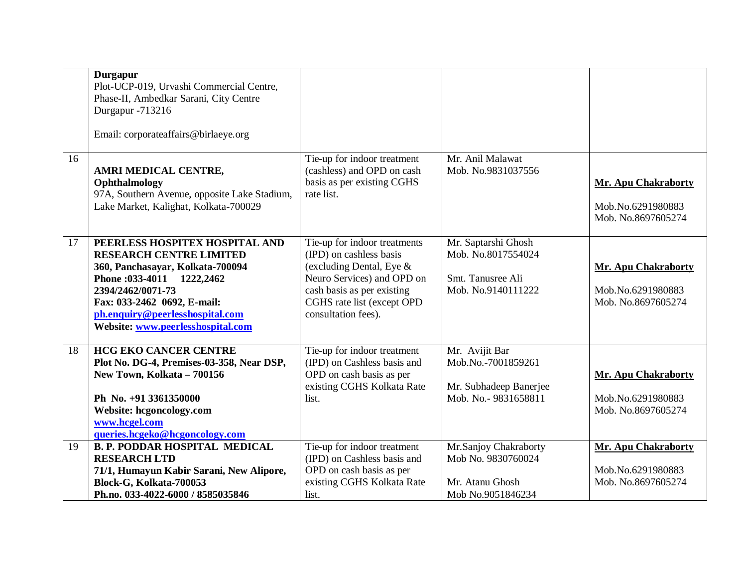|    | <b>Durgapur</b><br>Plot-UCP-019, Urvashi Commercial Centre,<br>Phase-II, Ambedkar Sarani, City Centre<br>Durgapur -713216<br>Email: corporateaffairs@birlaeye.org                                                                                              |                                                                                                                                                                                                         |                                                                                       |                                                                       |
|----|----------------------------------------------------------------------------------------------------------------------------------------------------------------------------------------------------------------------------------------------------------------|---------------------------------------------------------------------------------------------------------------------------------------------------------------------------------------------------------|---------------------------------------------------------------------------------------|-----------------------------------------------------------------------|
| 16 | AMRI MEDICAL CENTRE,<br>Ophthalmology<br>97A, Southern Avenue, opposite Lake Stadium,<br>Lake Market, Kalighat, Kolkata-700029                                                                                                                                 | Tie-up for indoor treatment<br>(cashless) and OPD on cash<br>basis as per existing CGHS<br>rate list.                                                                                                   | Mr. Anil Malawat<br>Mob. No.9831037556                                                | Mr. Apu Chakraborty<br>Mob.No.6291980883<br>Mob. No.8697605274        |
| 17 | PEERLESS HOSPITEX HOSPITAL AND<br><b>RESEARCH CENTRE LIMITED</b><br>360, Panchasayar, Kolkata-700094<br>Phone: 033-4011 1222, 2462<br>2394/2462/0071-73<br>Fax: 033-2462 0692, E-mail:<br>ph.enquiry@peerlesshospital.com<br>Website: www.peerlesshospital.com | Tie-up for indoor treatments<br>(IPD) on cashless basis<br>(excluding Dental, Eye $\&$<br>Neuro Services) and OPD on<br>cash basis as per existing<br>CGHS rate list (except OPD<br>consultation fees). | Mr. Saptarshi Ghosh<br>Mob. No.8017554024<br>Smt. Tanusree Ali<br>Mob. No.9140111222  | Mr. Apu Chakraborty<br>Mob.No.6291980883<br>Mob. No.8697605274        |
| 18 | <b>HCG EKO CANCER CENTRE</b><br>Plot No. DG-4, Premises-03-358, Near DSP,<br>New Town, Kolkata - 700156<br>Ph No. +91 3361350000<br>Website: hcgoncology.com<br>www.hcgel.com<br>queries.hcgeko@hcgoncology.com                                                | Tie-up for indoor treatment<br>(IPD) on Cashless basis and<br>OPD on cash basis as per<br>existing CGHS Kolkata Rate<br>list.                                                                           | Mr. Avijit Bar<br>Mob.No.-7001859261<br>Mr. Subhadeep Banerjee<br>Mob. No.-9831658811 | <b>Mr. Apu Chakraborty</b><br>Mob.No.6291980883<br>Mob. No.8697605274 |
| 19 | <b>B. P. PODDAR HOSPITAL MEDICAL</b><br><b>RESEARCH LTD</b><br>71/1, Humayun Kabir Sarani, New Alipore,<br>Block-G, Kolkata-700053<br>Ph.no. 033-4022-6000 / 8585035846                                                                                        | Tie-up for indoor treatment<br>(IPD) on Cashless basis and<br>OPD on cash basis as per<br>existing CGHS Kolkata Rate<br>list.                                                                           | Mr.Sanjoy Chakraborty<br>Mob No. 9830760024<br>Mr. Atanu Ghosh<br>Mob No.9051846234   | <b>Mr. Apu Chakraborty</b><br>Mob.No.6291980883<br>Mob. No.8697605274 |